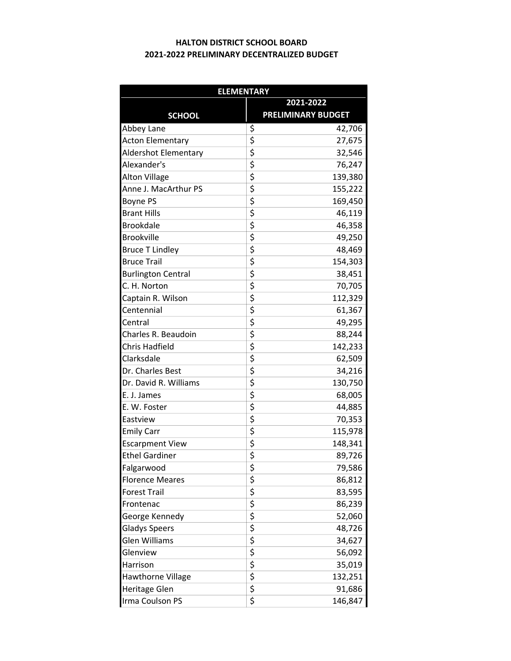## 2021-2022 PRELIMINARY DECENTRALIZED BUDGET HALTON DISTRICT SCHOOL BOARD

| <b>ELEMENTARY</b>         |                                     |                           |  |  |  |
|---------------------------|-------------------------------------|---------------------------|--|--|--|
|                           | 2021-2022                           |                           |  |  |  |
| <b>SCHOOL</b>             |                                     | <b>PRELIMINARY BUDGET</b> |  |  |  |
| Abbey Lane                | \$                                  | 42,706                    |  |  |  |
| <b>Acton Elementary</b>   | \$                                  | 27,675                    |  |  |  |
| Aldershot Elementary      | $\overline{\xi}$                    | 32,546                    |  |  |  |
| Alexander's               | $\overline{\boldsymbol{\zeta}}$     | 76,247                    |  |  |  |
| <b>Alton Village</b>      | \$                                  | 139,380                   |  |  |  |
| Anne J. MacArthur PS      | \$                                  | 155,222                   |  |  |  |
| Boyne PS                  | \$                                  | 169,450                   |  |  |  |
| <b>Brant Hills</b>        | \$                                  | 46,119                    |  |  |  |
| <b>Brookdale</b>          | $\overline{\boldsymbol{\varsigma}}$ | 46,358                    |  |  |  |
| <b>Brookville</b>         | \$                                  | 49,250                    |  |  |  |
| <b>Bruce T Lindley</b>    | \$                                  | 48,469                    |  |  |  |
| <b>Bruce Trail</b>        | \$                                  | 154,303                   |  |  |  |
| <b>Burlington Central</b> | \$                                  | 38,451                    |  |  |  |
| C. H. Norton              | \$                                  | 70,705                    |  |  |  |
| Captain R. Wilson         | $\frac{1}{5}$                       | 112,329                   |  |  |  |
| Centennial                | \$                                  | 61,367                    |  |  |  |
| Central                   | $\overline{\boldsymbol{\zeta}}$     | 49,295                    |  |  |  |
| Charles R. Beaudoin       | \$                                  | 88,244                    |  |  |  |
| Chris Hadfield            | \$                                  | 142,233                   |  |  |  |
| Clarksdale                | \$                                  | 62,509                    |  |  |  |
| Dr. Charles Best          | \$                                  | 34,216                    |  |  |  |
| Dr. David R. Williams     | $\overline{\xi}$                    | 130,750                   |  |  |  |
| E. J. James               | $\overline{\boldsymbol{\zeta}}$     | 68,005                    |  |  |  |
| E. W. Foster              | \$                                  | 44,885                    |  |  |  |
| Eastview                  | \$                                  | 70,353                    |  |  |  |
| <b>Emily Carr</b>         | \$                                  | 115,978                   |  |  |  |
| <b>Escarpment View</b>    | \$                                  | 148,341                   |  |  |  |
| <b>Ethel Gardiner</b>     | $\overline{\boldsymbol{\varsigma}}$ | 89,726                    |  |  |  |
| Falgarwood                | \$                                  | 79,586                    |  |  |  |
| <b>Florence Meares</b>    | \$                                  | 86,812                    |  |  |  |
| <b>Forest Trail</b>       | \$                                  | 83,595                    |  |  |  |
| Frontenac                 |                                     | 86,239                    |  |  |  |
| George Kennedy            | やくやく                                | 52,060                    |  |  |  |
| <b>Gladys Speers</b>      |                                     | 48,726                    |  |  |  |
| Glen Williams             |                                     | 34,627                    |  |  |  |
| Glenview                  |                                     | 56,092                    |  |  |  |
| Harrison                  | \$                                  | 35,019                    |  |  |  |
| <b>Hawthorne Village</b>  | \$                                  | 132,251                   |  |  |  |
| Heritage Glen             | $rac{1}{5}$                         | 91,686                    |  |  |  |
| Irma Coulson PS           |                                     | 146,847                   |  |  |  |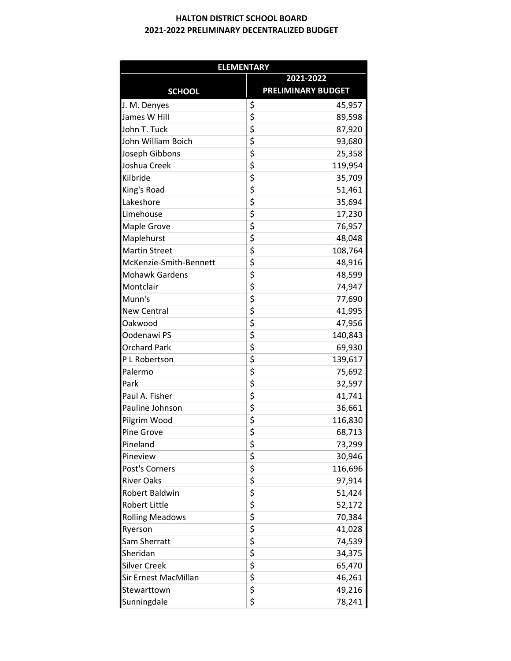## 2021-2022 PRELIMINARY DECENTRALIZED BUDGET HALTON DISTRICT SCHOOL BOARD

| <b>ELEMENTARY</b>      |                                 |                           |  |  |  |  |
|------------------------|---------------------------------|---------------------------|--|--|--|--|
|                        | 2021-2022                       |                           |  |  |  |  |
| <b>SCHOOL</b>          |                                 | <b>PRELIMINARY BUDGET</b> |  |  |  |  |
| J. M. Denyes           | \$                              | 45,957                    |  |  |  |  |
| James W Hill           | \$                              | 89,598                    |  |  |  |  |
| John T. Tuck           | \$                              | 87,920                    |  |  |  |  |
| John William Boich     | \$                              | 93,680                    |  |  |  |  |
| Joseph Gibbons         | \$                              | 25,358                    |  |  |  |  |
| Joshua Creek           | \$                              | 119,954                   |  |  |  |  |
| Kilbride               | $\overline{\boldsymbol{\zeta}}$ | 35,709                    |  |  |  |  |
| King's Road            | \$                              | 51,461                    |  |  |  |  |
| Lakeshore              | \$                              | 35,694                    |  |  |  |  |
| Limehouse              | \$                              | 17,230                    |  |  |  |  |
| Maple Grove            | \$                              | 76,957                    |  |  |  |  |
| Maplehurst             | \$                              | 48,048                    |  |  |  |  |
| <b>Martin Street</b>   | \$                              | 108,764                   |  |  |  |  |
| McKenzie-Smith-Bennett | \$                              | 48,916                    |  |  |  |  |
| <b>Mohawk Gardens</b>  | \$                              | 48,599                    |  |  |  |  |
| Montclair              | \$                              | 74,947                    |  |  |  |  |
| Munn's                 | \$                              | 77,690                    |  |  |  |  |
| <b>New Central</b>     | \$                              | 41,995                    |  |  |  |  |
| Oakwood                | \$                              | 47,956                    |  |  |  |  |
| Oodenawi PS            | \$                              | 140,843                   |  |  |  |  |
| <b>Orchard Park</b>    | \$                              | 69,930                    |  |  |  |  |
| P L Robertson          | \$                              | 139,617                   |  |  |  |  |
| Palermo                | \$                              | 75,692                    |  |  |  |  |
| Park                   | \$                              | 32,597                    |  |  |  |  |
| Paul A. Fisher         | \$                              | 41,741                    |  |  |  |  |
| Pauline Johnson        | \$                              | 36,661                    |  |  |  |  |
| Pilgrim Wood           | \$                              | 116,830                   |  |  |  |  |
| Pine Grove             | $\overline{\mathsf{s}}$         | 68,713                    |  |  |  |  |
| Pineland               | \$                              | 73,299                    |  |  |  |  |
| Pineview               | \$                              | 30,946                    |  |  |  |  |
| Post's Corners         | \$                              | 116,696                   |  |  |  |  |
| <b>River Oaks</b>      | \$                              | 97,914                    |  |  |  |  |
| Robert Baldwin         | \$                              | 51,424                    |  |  |  |  |
| <b>Robert Little</b>   | \$                              | 52,172                    |  |  |  |  |
| <b>Rolling Meadows</b> | \$<br>\$                        | 70,384                    |  |  |  |  |
| Ryerson                |                                 | 41,028                    |  |  |  |  |
| Sam Sherratt           | \$                              | 74,539                    |  |  |  |  |
| Sheridan               | \$                              | 34,375                    |  |  |  |  |
| <b>Silver Creek</b>    | \$                              | 65,470                    |  |  |  |  |
| Sir Ernest MacMillan   | \$                              | 46,261                    |  |  |  |  |
| Stewarttown            | \$                              | 49,216                    |  |  |  |  |
| Sunningdale            | \$                              | 78,241                    |  |  |  |  |